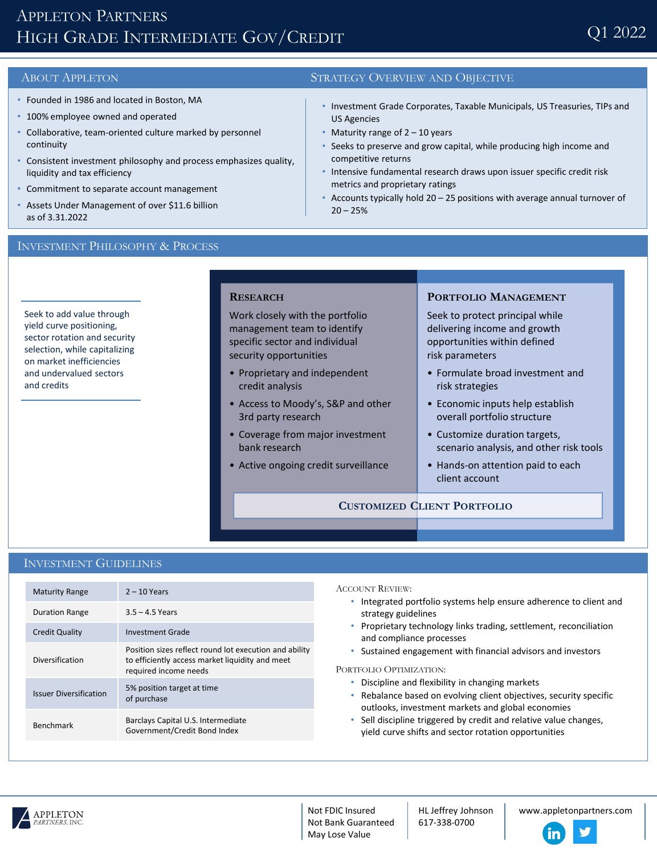# APPLETON PARTNERS HIGH GRADE INTERMEDIATE GOV/CREDIT

- Founded in 1986 and located in Boston, MA
- 100% employee owned and operated
- Collaborative, team-oriented culture marked by personnel continuity
- Consistent investment philosophy and process emphasizes quality, liquidity and tax efficiency
- Commitment to separate account management
- Assets Under Management of over \$11.6 billion as of 3.31.2022

## INVESTMENT PHILOSOPHY & PROCESS

# ABOUT APPLETON STRATEGY OVERVIEW AND OBJECTIVE

- Investment Grade Corporates, Taxable Municipals, US Treasuries, TIPs and US Agencies
- Maturity range of  $2 10$  years
- Seeks to preserve and grow capital, while producing high income and competitive returns
- Intensive fundamental research draws upon issuer specific credit risk metrics and proprietary ratings
- Accounts typically hold 20 25 positions with average annual turnover of  $20 - 25%$

Seek to add value through yield curve positioning, sector rotation and security selection, while capitalizing on market inefficiencies and undervalued sectors and credits

## **RESEARCH**

Work closely with the portfolio management team to identify specific sector and individual security opportunities

- Proprietary and independent credit analysis
- Access to Moody's, S&P and other 3rd party research
- Coverage from major investment bank research
- Active ongoing credit surveillance

## **PORTFOLIO MANAGEMENT**

Seek to protect principal while delivering income and growth opportunities within defined risk parameters

- Formulate broad investment and risk strategies
- Economic inputs help establish overall portfolio structure
- Customize duration targets, scenario analysis, and other risk tools
- Hands-on attention paid to each client account

## **CUSTOMIZED CLIENT PORTFOLIO**

## INVESTMENT GUIDELINES

| <b>Maturity Range</b>         | $2 - 10$ Years                                                                                                                     |
|-------------------------------|------------------------------------------------------------------------------------------------------------------------------------|
| <b>Duration Range</b>         | $3.5 - 4.5$ Years                                                                                                                  |
| <b>Credit Quality</b>         | <b>Investment Grade</b>                                                                                                            |
| Diversification               | Position sizes reflect round lot execution and ability<br>to efficiently access market liquidity and meet<br>required income needs |
| <b>Issuer Diversification</b> | 5% position target at time<br>of purchase                                                                                          |
| <b>Benchmark</b>              | Barclays Capital U.S. Intermediate<br>Government/Credit Bond Index                                                                 |

ACCOUNT REVIEW:

- Integrated portfolio systems help ensure adherence to client and strategy guidelines
- Proprietary technology links trading, settlement, reconciliation and compliance processes
- Sustained engagement with financial advisors and investors

### PORTFOLIO OPTIMIZATION:

- Discipline and flexibility in changing markets
- Rebalance based on evolving client objectives, security specific outlooks, investment markets and global economies
- Sell discipline triggered by credit and relative value changes, yield curve shifts and sector rotation opportunities



HL Jeffrey Johnson 617-338-0700